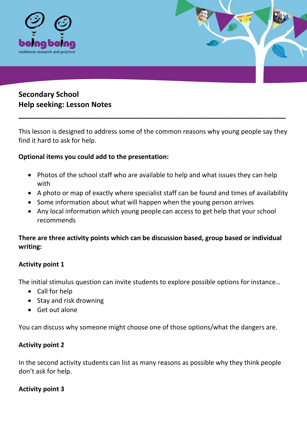

# **Secondary School Help seeking: Lesson Notes**

This lesson is designed to address some of the common reasons why young people say they find it hard to ask for help.

**\_\_\_\_\_\_\_\_\_\_\_\_\_\_\_\_\_\_\_\_\_\_\_\_\_\_\_\_\_\_\_\_\_\_\_\_\_\_\_\_\_\_\_\_\_\_\_\_\_\_\_\_\_\_\_\_\_\_\_\_\_\_\_\_\_**

### **Optional items you could add to the presentation:**

- Photos of the school staff who are available to help and what issues they can help with
- A photo or map of exactly where specialist staff can be found and times of availability
- Some information about what will happen when the young person arrives
- Any local information which young people can access to get help that your school recommends

## **There are three activity points which can be discussion based, group based or individual writing:**

#### **Activity point 1**

The initial stimulus question can invite students to explore possible options for instance…

- Call for help
- Stay and risk drowning
- Get out alone

You can discuss why someone might choose one of those options/what the dangers are.

#### **Activity point 2**

In the second activity students can list as many reasons as possible why they think people don't ask for help.

#### **Activity point 3**